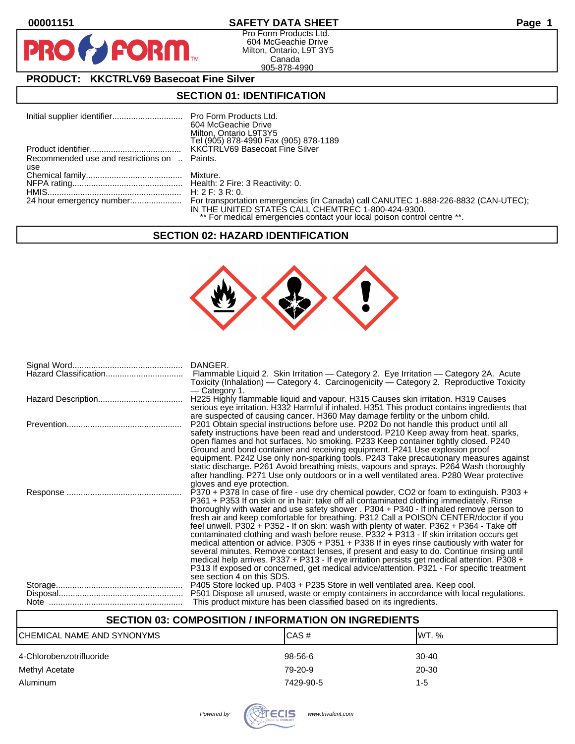$\bullet$ 

PR

## **00001151 SAFETY DATA SHEET Page 1**

Pro Form Products Ltd. 604 McGeachie Drive Milton, Ontario, L9T 3Y5 Canada 905-878-4990

# **PRODUCT: KKCTRLV69 Basecoat Fine Silver**

**FORM.** 

## **SECTION 01: IDENTIFICATION**

|                                              | 604 McGeachie Drive<br>Milton, Ontario L9T3Y5<br>Tel (905) 878-4990 Fax (905) 878-1189                                        |
|----------------------------------------------|-------------------------------------------------------------------------------------------------------------------------------|
|                                              |                                                                                                                               |
| Recommended use and restrictions on  Paints. |                                                                                                                               |
| use                                          |                                                                                                                               |
|                                              |                                                                                                                               |
|                                              |                                                                                                                               |
|                                              |                                                                                                                               |
|                                              | IN THE UNITED STATES CALL CHEMTREC 1-800-424-9300.<br>** For medical emergencies contact your local poison control centre **. |

#### **SECTION 02: HAZARD IDENTIFICATION**



|                       | DANGER.                                                                                                                                                                                                                                                                                                                                                                                                                                                                                                                                                                                                                                                                                                                                                                                                                                                                                                                                                                                                              |
|-----------------------|----------------------------------------------------------------------------------------------------------------------------------------------------------------------------------------------------------------------------------------------------------------------------------------------------------------------------------------------------------------------------------------------------------------------------------------------------------------------------------------------------------------------------------------------------------------------------------------------------------------------------------------------------------------------------------------------------------------------------------------------------------------------------------------------------------------------------------------------------------------------------------------------------------------------------------------------------------------------------------------------------------------------|
| Hazard Classification | Flammable Liquid 2. Skin Irritation - Category 2. Eye Irritation - Category 2A. Acute<br>Toxicity (Inhalation) — Category 4. Carcinogenicity — Category 2. Reproductive Toxicity<br>— Category 1.                                                                                                                                                                                                                                                                                                                                                                                                                                                                                                                                                                                                                                                                                                                                                                                                                    |
|                       | H225 Highly flammable liquid and vapour. H315 Causes skin irritation. H319 Causes<br>serious eye irritation. H332 Harmful if inhaled. H351 This product contains ingredients that                                                                                                                                                                                                                                                                                                                                                                                                                                                                                                                                                                                                                                                                                                                                                                                                                                    |
|                       | are suspected of causing cancer. H360 May damage fertility or the unborn child.<br>P201 Obtain special instructions before use. P202 Do not handle this product until all<br>safety instructions have been read and understood. P210 Keep away from heat, sparks,<br>open flames and hot surfaces. No smoking. P233 Keep container tightly closed. P240                                                                                                                                                                                                                                                                                                                                                                                                                                                                                                                                                                                                                                                              |
|                       | Ground and bond container and receiving equipment. P241 Use explosion proof<br>equipment. P242 Use only non-sparking tools. P243 Take precautionary measures against<br>static discharge. P261 Avoid breathing mists, vapours and sprays. P264 Wash thoroughly<br>after handling. P271 Use only outdoors or in a well ventilated area. P280 Wear protective                                                                                                                                                                                                                                                                                                                                                                                                                                                                                                                                                                                                                                                          |
|                       | gloves and eye protection.<br>P370 + P378 In case of fire - use dry chemical powder, CO2 or foam to extinguish. P303 +<br>P361 + P353 If on skin or in hair: take off all contaminated clothing immediately. Rinse<br>thoroughly with water and use safety shower . P304 + P340 - If inhaled remove person to<br>fresh air and keep comfortable for breathing. P312 Call a POISON CENTER/doctor if you<br>feel unwell. P302 + P352 - If on skin: wash with plenty of water. P362 + P364 - Take off<br>contaminated clothing and wash before reuse. P332 + P313 - If skin irritation occurs get<br>medical attention or advice. P305 + P351 + P338 If in eyes rinse cautiously with water for<br>several minutes. Remove contact lenses, if present and easy to do. Continue rinsing until<br>medical help arrives. P337 + P313 - If eye irritation persists get medical attention. P308 +<br>P313 If exposed or concerned, get medical advice/attention. P321 - For specific treatment<br>see section 4 on this SDS. |
|                       | P405 Store locked up. P403 + P235 Store in well ventilated area. Keep cool.                                                                                                                                                                                                                                                                                                                                                                                                                                                                                                                                                                                                                                                                                                                                                                                                                                                                                                                                          |
|                       | P501 Dispose all unused, waste or empty containers in accordance with local regulations.                                                                                                                                                                                                                                                                                                                                                                                                                                                                                                                                                                                                                                                                                                                                                                                                                                                                                                                             |
|                       | This product mixture has been classified based on its ingredients.                                                                                                                                                                                                                                                                                                                                                                                                                                                                                                                                                                                                                                                                                                                                                                                                                                                                                                                                                   |

## **SECTION 03: COMPOSITION / INFORMATION ON INGREDIENTS**

| CHEMICAL NAME AND SYNONYMS | ICAS#     | IWT. %    |
|----------------------------|-----------|-----------|
| 4-Chlorobenzotrifluoride   | 98-56-6   | $30 - 40$ |
| Methyl Acetate             | 79-20-9   | 20-30     |
| Aluminum                   | 7429-90-5 | 1-5       |

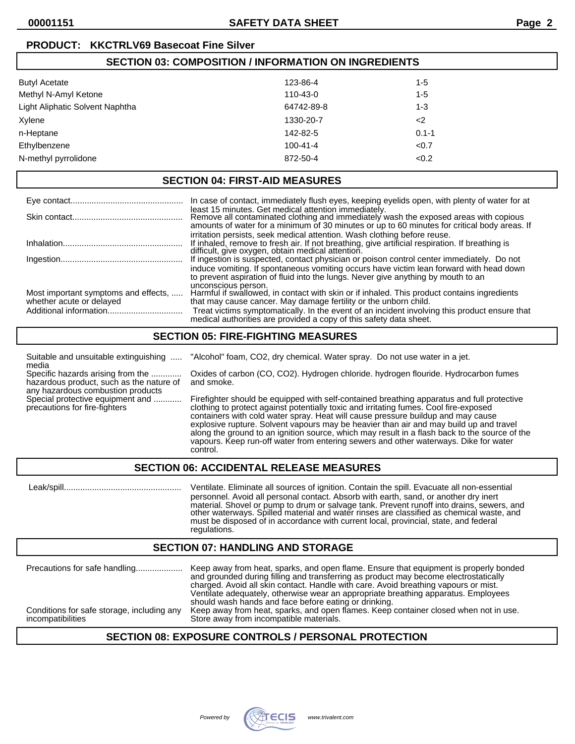## **PRODUCT: KKCTRLV69 Basecoat Fine Silver**

| <b>SECTION 03: COMPOSITION / INFORMATION ON INGREDIENTS</b> |                |                     |  |
|-------------------------------------------------------------|----------------|---------------------|--|
| <b>Butyl Acetate</b>                                        | 123-86-4       | $1 - 5$             |  |
| Methyl N-Amyl Ketone                                        | 110-43-0       | $1 - 5$             |  |
| Light Aliphatic Solvent Naphtha                             | 64742-89-8     | 1-3                 |  |
| Xylene                                                      | 1330-20-7      | $\langle 2 \rangle$ |  |
| n-Heptane                                                   | 142-82-5       | $0.1 - 1$           |  |
| Ethylbenzene                                                | $100 - 41 - 4$ | < 0.7               |  |
| N-methyl pyrrolidone                                        | 872-50-4       | < 0.2               |  |

## **SECTION 04: FIRST-AID MEASURES**

|                                                                  | In case of contact, immediately flush eyes, keeping eyelids open, with plenty of water for at                                                                                                                                                                                                                            |
|------------------------------------------------------------------|--------------------------------------------------------------------------------------------------------------------------------------------------------------------------------------------------------------------------------------------------------------------------------------------------------------------------|
|                                                                  | least 15 minutes. Get medical attention immediately.<br>Remove all contaminated clothing and immediately wash the exposed areas with copious<br>amounts of water for a minimum of 30 minutes or up to 60 minutes for critical body areas. If<br>irritation persists, seek medical attention. Wash clothing before reuse. |
|                                                                  | If inhaled, remove to fresh air. If not breathing, give artificial respiration. If breathing is<br>difficult, give oxygen, obtain medical attention.                                                                                                                                                                     |
|                                                                  | If ingestion is suspected, contact physician or poison control center immediately. Do not<br>induce vomiting. If spontaneous vomiting occurs have victim lean forward with head down<br>to prevent aspiration of fluid into the lungs. Never give anything by mouth to an<br>unconscious person.                         |
| Most important symptoms and effects,<br>whether acute or delayed | Harmful if swallowed, in contact with skin or if inhaled. This product contains ingredients<br>that may cause cancer. May damage fertility or the unborn child.                                                                                                                                                          |
|                                                                  | Treat victims symptomatically. In the event of an incident involving this product ensure that<br>medical authorities are provided a copy of this safety data sheet.                                                                                                                                                      |

#### **SECTION 05: FIRE-FIGHTING MEASURES**

| Suitable and unsuitable extinguishing<br>media                                                                     | "Alcohol" foam, CO2, dry chemical. Water spray. Do not use water in a jet.                                                                                                                                                                                                                                                                                                                                                                                                                                                                                             |
|--------------------------------------------------------------------------------------------------------------------|------------------------------------------------------------------------------------------------------------------------------------------------------------------------------------------------------------------------------------------------------------------------------------------------------------------------------------------------------------------------------------------------------------------------------------------------------------------------------------------------------------------------------------------------------------------------|
| Specific hazards arising from the<br>hazardous product, such as the nature of<br>any hazardous combustion products | Oxides of carbon (CO, CO2). Hydrogen chloride. hydrogen flouride. Hydrocarbon fumes<br>and smoke.                                                                                                                                                                                                                                                                                                                                                                                                                                                                      |
| Special protective equipment and<br>precautions for fire-fighters                                                  | Firefighter should be equipped with self-contained breathing apparatus and full protective<br>clothing to protect against potentially toxic and irritating fumes. Cool fire-exposed<br>containers with cold water spray. Heat will cause pressure buildup and may cause<br>explosive rupture. Solvent vapours may be heavier than air and may build up and travel<br>along the ground to an ignition source, which may result in a flash back to the source of the<br>vapours. Keep run-off water from entering sewers and other waterways. Dike for water<br>control. |

## **SECTION 06: ACCIDENTAL RELEASE MEASURES**

 Leak/spill.................................................. Ventilate. Eliminate all sources of ignition. Contain the spill. Evacuate all non-essential personnel. Avoid all personal contact. Absorb with earth, sand, or another dry inert material. Shovel or pump to drum or salvage tank. Prevent runoff into drains, sewers, and other waterways. Spilled material and water rinses are classified as chemical waste, and must be disposed of in accordance with current local, provincial, state, and federal regulations.

#### **SECTION 07: HANDLING AND STORAGE**

## **SECTION 08: EXPOSURE CONTROLS / PERSONAL PROTECTION**

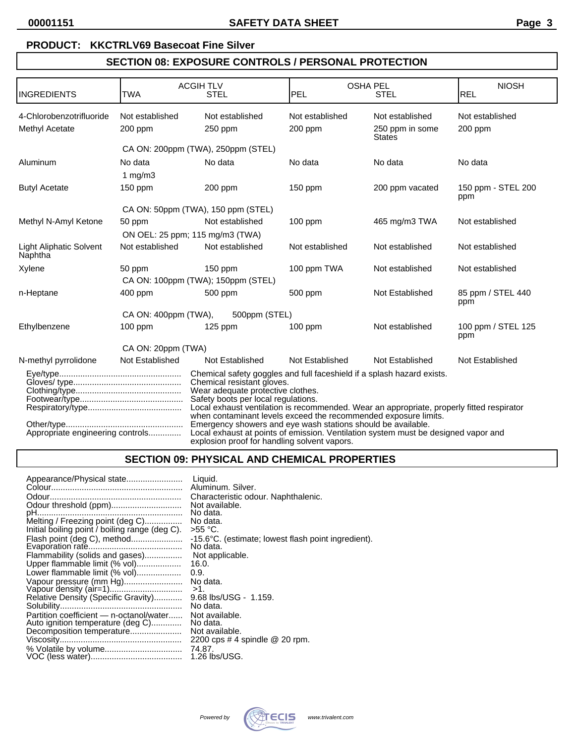#### **PRODUCT: KKCTRLV69 Basecoat Fine Silver**

# **SECTION 08: EXPOSURE CONTROLS / PERSONAL PROTECTION**

| <b>INGREDIENTS</b>                        | <b>TWA</b>                         | <b>ACGIH TLV</b><br><b>STEL</b>                                                                                                                                                                                                                                                                                                                                                                                                                                                                                                                        | <b>OSHA PEL</b><br>PEL | <b>STEL</b>                      | <b>NIOSH</b><br><b>REL</b> |
|-------------------------------------------|------------------------------------|--------------------------------------------------------------------------------------------------------------------------------------------------------------------------------------------------------------------------------------------------------------------------------------------------------------------------------------------------------------------------------------------------------------------------------------------------------------------------------------------------------------------------------------------------------|------------------------|----------------------------------|----------------------------|
|                                           |                                    |                                                                                                                                                                                                                                                                                                                                                                                                                                                                                                                                                        |                        |                                  |                            |
| 4-Chlorobenzotrifluoride                  | Not established                    | Not established                                                                                                                                                                                                                                                                                                                                                                                                                                                                                                                                        | Not established        | Not established                  | Not established            |
| Methyl Acetate                            | 200 ppm                            | $250$ ppm                                                                                                                                                                                                                                                                                                                                                                                                                                                                                                                                              | $200$ ppm              | 250 ppm in some<br><b>States</b> | 200 ppm                    |
|                                           | CA ON: 200ppm (TWA), 250ppm (STEL) |                                                                                                                                                                                                                                                                                                                                                                                                                                                                                                                                                        |                        |                                  |                            |
| Aluminum                                  | No data                            | No data                                                                                                                                                                                                                                                                                                                                                                                                                                                                                                                                                | No data                | No data                          | No data                    |
|                                           | 1 $mg/m3$                          |                                                                                                                                                                                                                                                                                                                                                                                                                                                                                                                                                        |                        |                                  |                            |
| <b>Butyl Acetate</b>                      | $150$ ppm                          | $200$ ppm                                                                                                                                                                                                                                                                                                                                                                                                                                                                                                                                              | $150$ ppm              | 200 ppm vacated                  | 150 ppm - STEL 200<br>ppm  |
|                                           | CA ON: 50ppm (TWA), 150 ppm (STEL) |                                                                                                                                                                                                                                                                                                                                                                                                                                                                                                                                                        |                        |                                  |                            |
| Methyl N-Amyl Ketone                      | 50 ppm                             | Not established                                                                                                                                                                                                                                                                                                                                                                                                                                                                                                                                        | 100 ppm                | 465 mg/m3 TWA                    | Not established            |
|                                           | ON OEL: 25 ppm; 115 mg/m3 (TWA)    |                                                                                                                                                                                                                                                                                                                                                                                                                                                                                                                                                        |                        |                                  |                            |
| <b>Light Aliphatic Solvent</b><br>Naphtha | Not established                    | Not established                                                                                                                                                                                                                                                                                                                                                                                                                                                                                                                                        | Not established        | Not established                  | Not established            |
| Xylene                                    | 50 ppm                             | 150 ppm                                                                                                                                                                                                                                                                                                                                                                                                                                                                                                                                                | 100 ppm TWA            | Not established                  | Not established            |
|                                           | CA ON: 100ppm (TWA); 150ppm (STEL) |                                                                                                                                                                                                                                                                                                                                                                                                                                                                                                                                                        |                        |                                  |                            |
| n-Heptane                                 | 400 ppm                            | 500 ppm                                                                                                                                                                                                                                                                                                                                                                                                                                                                                                                                                | 500 ppm                | Not Established                  | 85 ppm / STEL 440<br>ppm   |
|                                           | CA ON: 400ppm (TWA),               | 500ppm (STEL)                                                                                                                                                                                                                                                                                                                                                                                                                                                                                                                                          |                        |                                  |                            |
| Ethylbenzene                              | $100$ ppm                          | $125$ ppm                                                                                                                                                                                                                                                                                                                                                                                                                                                                                                                                              | $100$ ppm              | Not established                  | 100 ppm / STEL 125<br>ppm  |
| CA ON: 20ppm (TWA)                        |                                    |                                                                                                                                                                                                                                                                                                                                                                                                                                                                                                                                                        |                        |                                  |                            |
| N-methyl pyrrolidone                      | Not Established                    | Not Established                                                                                                                                                                                                                                                                                                                                                                                                                                                                                                                                        | Not Established        | Not Established                  | Not Established            |
| Appropriate engineering controls          |                                    | Chemical safety goggles and full faceshield if a splash hazard exists.<br>Chemical resistant gloves.<br>Wear adequate protective clothes.<br>Safety boots per local regulations.<br>Local exhaust ventilation is recommended. Wear an appropriate, properly fitted respirator<br>when contaminant levels exceed the recommended exposure limits.<br>Emergency showers and eye wash stations should be available.<br>Local exhaust at points of emission. Ventilation system must be designed vapor and<br>explosion proof for handling solvent vapors. |                        |                                  |                            |

#### **SECTION 09: PHYSICAL AND CHEMICAL PROPERTIES**

| Appearance/Physical state                      | Liquid.                                             |
|------------------------------------------------|-----------------------------------------------------|
|                                                | Aluminum. Silver.                                   |
|                                                | Characteristic odour. Naphthalenic.                 |
| Odour threshold (ppm)                          | Not available.                                      |
|                                                | No data.                                            |
| Melting / Freezing point (deg C)               | No data.                                            |
| Initial boiling point / boiling range (deg C). | $>55 °C$ .                                          |
| Flash point (deg C), method                    | -15.6°C. (estimate; lowest flash point ingredient). |
|                                                | No data.                                            |
| Flammability (solids and gases)                | Not applicable.                                     |
| Upper flammable limit (% vol)                  | 16.0.                                               |
| Lower flammable limit (% vol)                  | 0.9.                                                |
| Vapour pressure (mm Hg)                        | No data.                                            |
|                                                | $>1$ .                                              |
| Relative Density (Specific Gravity)            | 9.68 lbs/USG - 1.159.                               |
|                                                | No data.                                            |
| Partition coefficient - n-octanol/water        | Not available.                                      |
| Auto ignition temperature (deg C)              | No data.                                            |
| Decomposition temperature                      | Not available.                                      |
|                                                | 2200 cps $#$ 4 spindle $@$ 20 rpm.                  |
|                                                | 74.87.                                              |
|                                                | 1.26 lbs/USG.                                       |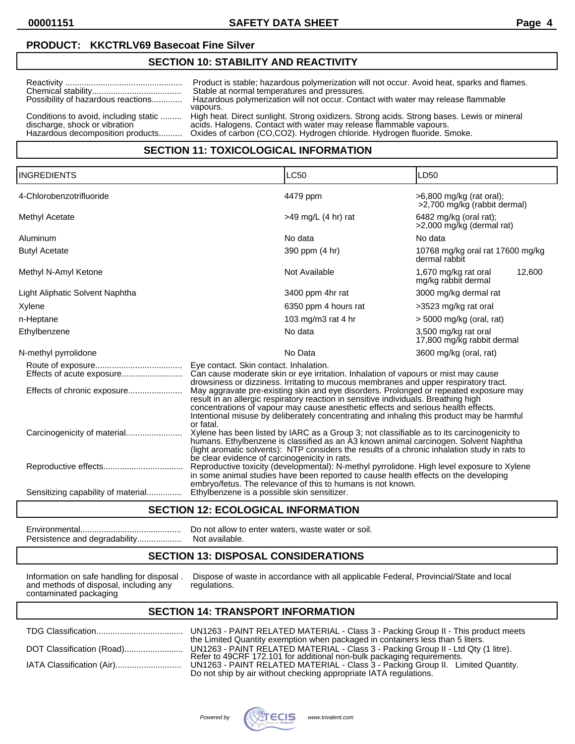**00001151 SAFETY DATA SHEET Page 4**

## **PRODUCT: KKCTRLV69 Basecoat Fine Silver**

#### **SECTION 10: STABILITY AND REACTIVITY**

| Possibility of hazardous reactions    | Product is stable; hazardous polymerization will not occur. Avoid heat, sparks and flames.<br>Stable at normal temperatures and pressures.<br>Hazardous polymerization will not occur. Contact with water may release flammable<br>vapours. |
|---------------------------------------|---------------------------------------------------------------------------------------------------------------------------------------------------------------------------------------------------------------------------------------------|
| Conditions to avoid, including static | High heat. Direct sunlight. Strong oxidizers. Strong acids. Strong bases. Lewis or mineral                                                                                                                                                  |
| discharge, shock or vibration         | acids. Halogens. Contact with water may release flammable vapours.                                                                                                                                                                          |
| Hazardous decomposition products      | Oxides of carbon (CO,CO2). Hydrogen chloride. Hydrogen fluoride. Smoke.                                                                                                                                                                     |

# **SECTION 11: TOXICOLOGICAL INFORMATION**

| <b>INGREDIENTS</b>                 |                                                                                                                                                                                                                                                                                                                                                                             | <b>LC50</b>           | LD50                                                     |  |
|------------------------------------|-----------------------------------------------------------------------------------------------------------------------------------------------------------------------------------------------------------------------------------------------------------------------------------------------------------------------------------------------------------------------------|-----------------------|----------------------------------------------------------|--|
| 4-Chlorobenzotrifluoride           |                                                                                                                                                                                                                                                                                                                                                                             | 4479 ppm              | >6,800 mg/kg (rat oral);<br>>2,700 mg/kg (rabbit dermal) |  |
| Methyl Acetate                     |                                                                                                                                                                                                                                                                                                                                                                             | $>49$ mg/L (4 hr) rat | 6482 mg/kg (oral rat);<br>>2,000 mg/kg (dermal rat)      |  |
| Aluminum                           |                                                                                                                                                                                                                                                                                                                                                                             | No data               | No data                                                  |  |
| <b>Butyl Acetate</b>               |                                                                                                                                                                                                                                                                                                                                                                             | 390 ppm (4 hr)        | 10768 mg/kg oral rat 17600 mg/kg<br>dermal rabbit        |  |
| Methyl N-Amyl Ketone               |                                                                                                                                                                                                                                                                                                                                                                             | Not Available         | 1,670 mg/kg rat oral<br>12,600<br>mg/kg rabbit dermal    |  |
| Light Aliphatic Solvent Naphtha    |                                                                                                                                                                                                                                                                                                                                                                             | 3400 ppm 4hr rat      | 3000 mg/kg dermal rat                                    |  |
| Xylene                             |                                                                                                                                                                                                                                                                                                                                                                             | 6350 ppm 4 hours rat  | >3523 mg/kg rat oral                                     |  |
| n-Heptane                          |                                                                                                                                                                                                                                                                                                                                                                             | 103 mg/m3 rat 4 hr    | $>$ 5000 mg/kg (oral, rat)                               |  |
| Ethylbenzene                       |                                                                                                                                                                                                                                                                                                                                                                             | No data               | 3,500 mg/kg rat oral<br>17,800 mg/kg rabbit dermal       |  |
| N-methyl pyrrolidone               |                                                                                                                                                                                                                                                                                                                                                                             | No Data               | 3600 mg/kg (oral, rat)                                   |  |
|                                    | Eye contact. Skin contact. Inhalation.<br>Can cause moderate skin or eye irritation. Inhalation of vapours or mist may cause<br>drowsiness or dizziness. Irritating to mucous membranes and upper respiratory tract.                                                                                                                                                        |                       |                                                          |  |
|                                    | May aggravate pre-existing skin and eye disorders. Prolonged or repeated exposure may<br>result in an allergic respiratory reaction in sensitive individuals. Breathing high<br>concentrations of vapour may cause anesthetic effects and serious health effects.<br>Intentional misuse by deliberately concentrating and inhaling this product may be harmful<br>or fatal. |                       |                                                          |  |
|                                    | Xylene has been listed by IARC as a Group 3; not classifiable as to its carcinogenicity to<br>humans. Ethylbenzene is classified as an A3 known animal carcinogen. Solvent Naphtha<br>(light aromatic solvents): NTP considers the results of a chronic inhalation study in rats to<br>be clear evidence of carcinogenicity in rats.                                        |                       |                                                          |  |
|                                    | Reproductive toxicity (developmental): N-methyl pyrrolidone. High level exposure to Xylene<br>in some animal studies have been reported to cause health effects on the developing<br>embryo/fetus. The relevance of this to humans is not known.                                                                                                                            |                       |                                                          |  |
| Sensitizing capability of material | Ethylbenzene is a possible skin sensitizer.                                                                                                                                                                                                                                                                                                                                 |                       |                                                          |  |

#### **SECTION 12: ECOLOGICAL INFORMATION**

Environmental........................................... Do not allow to enter waters, waste water or soil. Persistence and degradability..................

## **SECTION 13: DISPOSAL CONSIDERATIONS**

and methods of disposal, including any contaminated packaging

Information on safe handling for disposal . Dispose of waste in accordance with all applicable Federal, Provincial/State and local and methods of disposal, including any regulations.

## **SECTION 14: TRANSPORT INFORMATION**

|                           | UN1<br>the |
|---------------------------|------------|
|                           | <b>Ref</b> |
| IATA Classification (Air) | UN1        |

263 - PAINT RELATED MATERIAL - Class 3 - Packing Group II - This product meets the Limited Quantity exemption when packaged in containers less than 5 liters. DOT Classification (Road)......................... UN1263 - PAINT RELATED MATERIAL - Class 3 - Packing Group II - Ltd Qty (1 litre). Refer to 49CRF 172.101 for additional non-bulk packaging requirements. IATA Classification (Air)............................ UN1263 - PAINT RELATED MATERIAL - Class 3 - Packing Group II. Limited Quantity. Do not ship by air without checking appropriate IATA regulations.